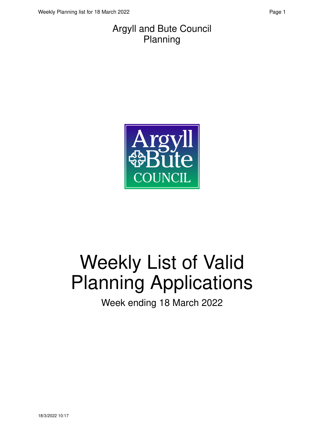#### Argyll and Bute Council Planning



# Weekly List of Valid Planning Applications

Week ending 18 March 2022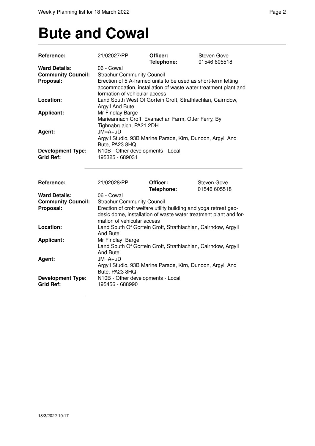### **Bute and Cowal**

| Reference:                                   | 21/02027/PP                                                                   | Officer:<br>Telephone:                                           | Steven Gove<br>01546 605518                                    |
|----------------------------------------------|-------------------------------------------------------------------------------|------------------------------------------------------------------|----------------------------------------------------------------|
| <b>Ward Details:</b>                         | 06 - Cowal                                                                    |                                                                  |                                                                |
| <b>Community Council:</b>                    | <b>Strachur Community Council</b>                                             |                                                                  |                                                                |
| Proposal:                                    |                                                                               | Erection of 5 A-framed units to be used as short-term letting    |                                                                |
|                                              |                                                                               |                                                                  | accommodation, installation of waste water treatment plant and |
|                                              | formation of vehicular access                                                 |                                                                  |                                                                |
| Location:                                    |                                                                               |                                                                  |                                                                |
|                                              | Land South West Of Gortein Croft, Strathlachlan, Cairndow,<br>Argyll And Bute |                                                                  |                                                                |
| <b>Applicant:</b>                            | Mr Findlay Barge                                                              |                                                                  |                                                                |
|                                              |                                                                               | Marieannach Croft, Evanachan Farm, Otter Ferry, By               |                                                                |
|                                              |                                                                               |                                                                  |                                                                |
|                                              | Tighnabruaich, PA21 2DH                                                       |                                                                  |                                                                |
| Agent:                                       | $JM = A + uD$                                                                 |                                                                  |                                                                |
|                                              |                                                                               | Argyll Studio, 93B Marine Parade, Kirn, Dunoon, Argyll And       |                                                                |
|                                              | Bute, PA23 8HQ                                                                |                                                                  |                                                                |
| <b>Development Type:</b>                     | N10B - Other developments - Local                                             |                                                                  |                                                                |
| <b>Grid Ref:</b>                             | 195325 - 689031                                                               |                                                                  |                                                                |
|                                              |                                                                               |                                                                  |                                                                |
| Reference:                                   | 21/02028/PP                                                                   | Officer:                                                         | <b>Steven Gove</b>                                             |
|                                              |                                                                               | Telephone:                                                       | 01546 605518                                                   |
| <b>Ward Details:</b>                         | 06 - Cowal                                                                    |                                                                  |                                                                |
| <b>Community Council:</b>                    | <b>Strachur Community Council</b>                                             |                                                                  |                                                                |
| Proposal:                                    |                                                                               | Erection of croft welfare utility building and yoga retreat geo- |                                                                |
|                                              |                                                                               | desic dome, installation of waste water treatment plant and for- |                                                                |
|                                              | mation of vehicular access                                                    |                                                                  |                                                                |
| Location:                                    |                                                                               | Land South Of Gortein Croft, Strathlachlan, Cairndow, Argyll     |                                                                |
|                                              | And Bute                                                                      |                                                                  |                                                                |
| <b>Applicant:</b>                            | Mr Findlay Barge                                                              |                                                                  |                                                                |
|                                              |                                                                               | Land South Of Gortein Croft, Strathlachlan, Cairndow, Argyll     |                                                                |
|                                              | And Bute                                                                      |                                                                  |                                                                |
| Agent:                                       | $JM = A + U D$                                                                |                                                                  |                                                                |
|                                              |                                                                               | Argyll Studio, 93B Marine Parade, Kirn, Dunoon, Argyll And       |                                                                |
|                                              | Bute, PA23 8HQ                                                                |                                                                  |                                                                |
| <b>Development Type:</b><br><b>Grid Ref:</b> | N10B - Other developments - Local<br>195456 - 688990                          |                                                                  |                                                                |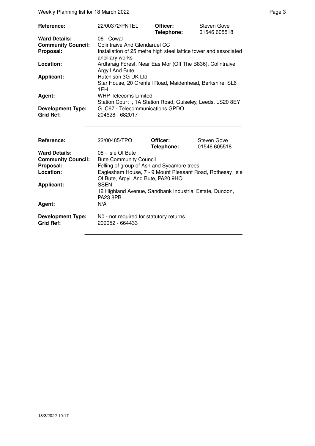Weekly Planning list for 18 March 2022 **Page 3** Page 3

| <b>Reference:</b>         | 22/00372/PNTEL                                                                      | Officer:<br>Telephone: | Steven Gove<br>01546 605518 |  |
|---------------------------|-------------------------------------------------------------------------------------|------------------------|-----------------------------|--|
| <b>Ward Details:</b>      | 06 - Cowal                                                                          |                        |                             |  |
| <b>Community Council:</b> | Colintraive And Glendaruel CC                                                       |                        |                             |  |
| Proposal:                 | Installation of 25 metre high steel lattice tower and associated<br>ancillary works |                        |                             |  |
| Location:                 | Ardtaraig Forest, Near Eas Mor (Off The B836), Colintraive,<br>Argyll And Bute      |                        |                             |  |
| <b>Applicant:</b>         | Hutchison 3G UK Ltd                                                                 |                        |                             |  |
|                           | Star House, 20 Grenfell Road, Maidenhead, Berkshire, SL6<br>1EH                     |                        |                             |  |
| Agent:                    | <b>WHP Telecoms Limited</b>                                                         |                        |                             |  |
|                           | Station Court, 1A Station Road, Guiseley, Leeds, LS20 8EY                           |                        |                             |  |
| <b>Development Type:</b>  | G C67 - Telecommunications GPDO                                                     |                        |                             |  |
| <b>Grid Ref:</b>          | 204628 - 682017                                                                     |                        |                             |  |
|                           |                                                                                     |                        |                             |  |
| D <sub>6</sub>            | 00/0040E/TDO                                                                        | $\bigcap$ iiiaau.      | C <sub>on</sub>             |  |

| Reference:                                   | 22/00485/TPO                                               | Officer:   | Steven Gove  |
|----------------------------------------------|------------------------------------------------------------|------------|--------------|
|                                              |                                                            | Telephone: | 01546 605518 |
| <b>Ward Details:</b>                         | 08 - Isle Of Bute                                          |            |              |
| <b>Community Council:</b>                    | <b>Bute Community Council</b>                              |            |              |
| Proposal:                                    | Felling of group of Ash and Sycamore trees                 |            |              |
| Location:                                    | Eaglesham House, 7 - 9 Mount Pleasant Road, Rothesay, Isle |            |              |
|                                              | Of Bute, Argyll And Bute, PA20 9HQ                         |            |              |
| <b>Applicant:</b>                            | <b>SSEN</b>                                                |            |              |
|                                              | 12 Highland Avenue, Sandbank Industrial Estate, Dunoon,    |            |              |
|                                              | <b>PA23 8PB</b>                                            |            |              |
| Agent:                                       | N/A                                                        |            |              |
| <b>Development Type:</b><br><b>Grid Ref:</b> | N0 - not required for statutory returns<br>209052 - 664433 |            |              |
|                                              |                                                            |            |              |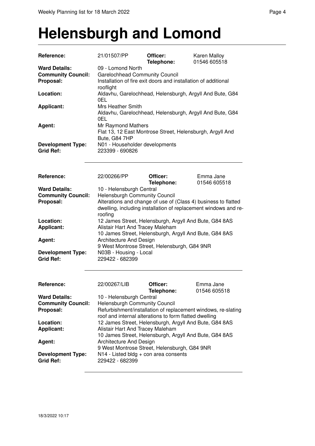### **Helensburgh and Lomond**

| Reference:                                                     | 21/01507/PP                                                                                                                                                                                                                                                                                                                                                                                                                                                                                      | Officer:<br>Telephone: | Karen Malloy<br>01546 605518                                                                                     |  |
|----------------------------------------------------------------|--------------------------------------------------------------------------------------------------------------------------------------------------------------------------------------------------------------------------------------------------------------------------------------------------------------------------------------------------------------------------------------------------------------------------------------------------------------------------------------------------|------------------------|------------------------------------------------------------------------------------------------------------------|--|
| <b>Ward Details:</b><br><b>Community Council:</b><br>Proposal: | 09 - Lomond North<br><b>Garelochhead Community Council</b><br>Installation of fire exit doors and installation of additional<br>rooflight                                                                                                                                                                                                                                                                                                                                                        |                        |                                                                                                                  |  |
| Location:                                                      | 0EL.                                                                                                                                                                                                                                                                                                                                                                                                                                                                                             |                        | Aldavhu, Garelochhead, Helensburgh, Argyll And Bute, G84                                                         |  |
| <b>Applicant:</b>                                              | <b>Mrs Heather Smith</b><br>Aldavhu, Garelochhead, Helensburgh, Argyll And Bute, G84<br>0EL                                                                                                                                                                                                                                                                                                                                                                                                      |                        |                                                                                                                  |  |
| Agent:                                                         | Mr Raymond Mathers<br>Flat 13, 12 East Montrose Street, Helensburgh, Argyll And<br>Bute, G84 7HP                                                                                                                                                                                                                                                                                                                                                                                                 |                        |                                                                                                                  |  |
| <b>Development Type:</b><br><b>Grid Ref:</b>                   | N01 - Householder developments<br>223399 - 690826                                                                                                                                                                                                                                                                                                                                                                                                                                                |                        |                                                                                                                  |  |
| Reference:                                                     | 22/00266/PP                                                                                                                                                                                                                                                                                                                                                                                                                                                                                      | Officer:<br>Telephone: | Emma Jane<br>01546 605518                                                                                        |  |
| <b>Ward Details:</b><br><b>Community Council:</b><br>Proposal: | 10 - Helensburgh Central<br><b>Helensburgh Community Council</b><br>Alterations and change of use of (Class 4) business to flatted<br>dwelling, including installation of replacement windows and re-<br>roofing<br>12 James Street, Helensburgh, Argyll And Bute, G84 8AS<br>Alistair Hart And Tracey Maleham<br>10 James Street, Helensburgh, Argyll And Bute, G84 8AS<br>Architecture And Design<br>9 West Montrose Street, Helensburgh, G84 9NR<br>N03B - Housing - Local<br>229422 - 682399 |                        |                                                                                                                  |  |
| Location:<br><b>Applicant:</b>                                 |                                                                                                                                                                                                                                                                                                                                                                                                                                                                                                  |                        |                                                                                                                  |  |
| Agent:                                                         |                                                                                                                                                                                                                                                                                                                                                                                                                                                                                                  |                        |                                                                                                                  |  |
| <b>Development Type:</b><br><b>Grid Ref:</b>                   |                                                                                                                                                                                                                                                                                                                                                                                                                                                                                                  |                        |                                                                                                                  |  |
| <b>Reference:</b>                                              | 22/00267/LIB                                                                                                                                                                                                                                                                                                                                                                                                                                                                                     | Officer:<br>Telephone: | Emma Jane<br>01546 605518                                                                                        |  |
| <b>Ward Details:</b><br><b>Community Council:</b><br>Proposal: | 10 - Helensburgh Central<br><b>Helensburgh Community Council</b><br>Refurbishment/installation of replacement windows, re-slating<br>roof and internal alterations to form flatted dwelling                                                                                                                                                                                                                                                                                                      |                        |                                                                                                                  |  |
| Location:<br><b>Applicant:</b>                                 | Alistair Hart And Tracey Maleham                                                                                                                                                                                                                                                                                                                                                                                                                                                                 |                        | 12 James Street, Helensburgh, Argyll And Bute, G84 8AS<br>10 James Street, Helensburgh, Argyll And Bute, G84 8AS |  |
| Agent:                                                         | Architecture And Design                                                                                                                                                                                                                                                                                                                                                                                                                                                                          |                        |                                                                                                                  |  |
| <b>Development Type:</b><br><b>Grid Ref:</b>                   | 9 West Montrose Street, Helensburgh, G84 9NR<br>$N14$ - Listed bldg + con area consents<br>229422 - 682399                                                                                                                                                                                                                                                                                                                                                                                       |                        |                                                                                                                  |  |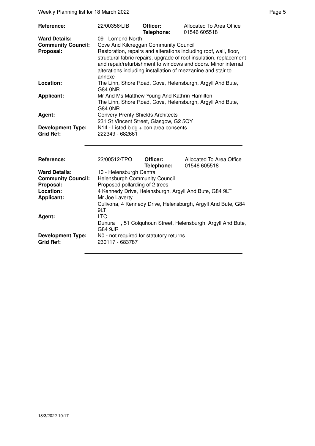Weekly Planning list for 18 March 2022 **Page 5** Page 5

| Reference:                                                     | 22/00356/LIB                                                                                                                                                                                                                                                                                                                                     | Officer:<br>Telephone:                                    | Allocated To Area Office<br>01546 605518 |  |
|----------------------------------------------------------------|--------------------------------------------------------------------------------------------------------------------------------------------------------------------------------------------------------------------------------------------------------------------------------------------------------------------------------------------------|-----------------------------------------------------------|------------------------------------------|--|
| <b>Ward Details:</b><br><b>Community Council:</b><br>Proposal: | 09 - Lomond North<br>Cove And Kilcreggan Community Council<br>Restoration, repairs and alterations including roof, wall, floor,<br>structural fabric repairs, upgrade of roof insulation, replacement<br>and repair/refurbishment to windows and doors. Minor internal<br>alterations including installation of mezzanine and stair to<br>annexe |                                                           |                                          |  |
| Location:                                                      | G84 0NR                                                                                                                                                                                                                                                                                                                                          | The Linn, Shore Road, Cove, Helensburgh, Argyll And Bute, |                                          |  |
| <b>Applicant:</b>                                              | Mr And Ms Matthew Young And Kathrin Hamilton<br>The Linn, Shore Road, Cove, Helensburgh, Argyll And Bute,<br>G84 0NR                                                                                                                                                                                                                             |                                                           |                                          |  |
| Agent:                                                         | <b>Convery Prenty Shields Architects</b><br>231 St Vincent Street, Glasgow, G2 5QY                                                                                                                                                                                                                                                               |                                                           |                                          |  |
| <b>Development Type:</b><br><b>Grid Ref:</b>                   | $N14$ - Listed bldg + con area consents<br>222349 - 682661                                                                                                                                                                                                                                                                                       |                                                           |                                          |  |
| Reference:                                                     | 22/00512/TPO                                                                                                                                                                                                                                                                                                                                     | Officer:<br>Telephone:                                    | Allocated To Area Office<br>01546 605518 |  |
| <i>Moral Datailas</i>                                          | $10$ Llalanghurah Cantral                                                                                                                                                                                                                                                                                                                        |                                                           |                                          |  |

|                           | Telephone:                                                          | 01546 605518                                         |
|---------------------------|---------------------------------------------------------------------|------------------------------------------------------|
| <b>Ward Details:</b>      | 10 - Helensburgh Central                                            |                                                      |
| <b>Community Council:</b> | <b>Helensburgh Community Council</b>                                |                                                      |
| Proposal:                 | Proposed pollarding of 2 trees                                      |                                                      |
| Location:                 | 4 Kennedy Drive, Helensburgh, Argyll And Bute, G84 9LT              |                                                      |
| <b>Applicant:</b>         | Mr Joe Laverty                                                      |                                                      |
|                           | Culivona, 4 Kennedy Drive, Helensburgh, Argyll And Bute, G84<br>9LT |                                                      |
| Agent:                    | <b>LTC</b>                                                          |                                                      |
|                           | Dunura<br>G84 9JR                                                   | , 51 Colquhoun Street, Helensburgh, Argyll And Bute, |
| <b>Development Type:</b>  | N0 - not required for statutory returns                             |                                                      |
| <b>Grid Ref:</b>          | 230117 - 683787                                                     |                                                      |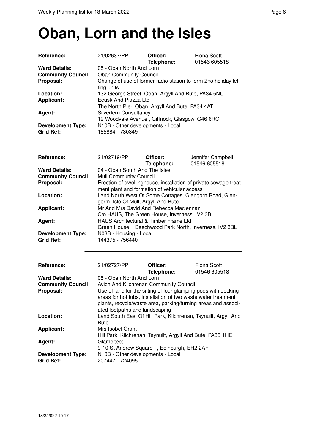## **Oban, Lorn and the Isles**

| Reference:                | 21/02637/PP                                                                                                   | Officer:<br>Telephone: | <b>Fiona Scott</b><br>01546 605518                               |
|---------------------------|---------------------------------------------------------------------------------------------------------------|------------------------|------------------------------------------------------------------|
| <b>Ward Details:</b>      | 05 - Oban North And Lorn                                                                                      |                        |                                                                  |
| <b>Community Council:</b> | <b>Oban Community Council</b><br>Change of use of former radio station to form 2no holiday let-<br>ting units |                        |                                                                  |
| Proposal:                 |                                                                                                               |                        |                                                                  |
|                           |                                                                                                               |                        |                                                                  |
| Location:                 | 132 George Street, Oban, Argyll And Bute, PA34 5NU                                                            |                        |                                                                  |
| <b>Applicant:</b>         | Eeusk And Piazza Ltd                                                                                          |                        |                                                                  |
|                           | The North Pier, Oban, Argyll And Bute, PA34 4AT                                                               |                        |                                                                  |
| Agent:                    | Silverfern Consultancy                                                                                        |                        |                                                                  |
|                           | 19 Woodvale Avenue, Giffnock, Glasgow, G46 6RG                                                                |                        |                                                                  |
| <b>Development Type:</b>  | N10B - Other developments - Local                                                                             |                        |                                                                  |
| <b>Grid Ref:</b>          | 185884 - 730349                                                                                               |                        |                                                                  |
|                           |                                                                                                               |                        |                                                                  |
|                           |                                                                                                               |                        |                                                                  |
| Reference:                | 21/02719/PP                                                                                                   | Officer:               | Jennifer Campbell                                                |
|                           |                                                                                                               | Telephone:             | 01546 605518                                                     |
| <b>Ward Details:</b>      | 04 - Oban South And The Isles                                                                                 |                        |                                                                  |
| <b>Community Council:</b> | <b>Mull Community Council</b>                                                                                 |                        |                                                                  |
| Proposal:                 |                                                                                                               |                        | Erection of dwellinghouse, installation of private sewage treat- |
|                           | ment plant and formation of vehicular access                                                                  |                        |                                                                  |
| Location:                 |                                                                                                               |                        |                                                                  |
|                           |                                                                                                               |                        | Land North West Of Some Cottages, Glengorn Road, Glen-           |
|                           | gorm, Isle Of Mull, Argyll And Bute                                                                           |                        |                                                                  |
| <b>Applicant:</b>         | Mr And Mrs David And Rebecca Maclennan                                                                        |                        |                                                                  |
|                           | C/o HAUS, The Green House, Inverness, IV2 3BL                                                                 |                        |                                                                  |
| Agent:                    | HAUS Architectural & Timber Frame Ltd                                                                         |                        |                                                                  |
|                           |                                                                                                               |                        | Green House, Beechwood Park North, Inverness, IV2 3BL            |
| <b>Development Type:</b>  | N03B - Housing - Local                                                                                        |                        |                                                                  |
| <b>Grid Ref:</b>          | 144375 - 756440                                                                                               |                        |                                                                  |
|                           |                                                                                                               |                        |                                                                  |
|                           |                                                                                                               |                        |                                                                  |
| Reference:                | 21/02727/PP                                                                                                   | Officer:               | <b>Fiona Scott</b>                                               |
|                           |                                                                                                               | Telephone:             | 01546 605518                                                     |
| <b>Ward Details:</b>      | 05 - Oban North And Lorn                                                                                      |                        |                                                                  |
| <b>Community Council:</b> | Avich And Kilchrenan Community Council                                                                        |                        |                                                                  |
| Proposal:                 |                                                                                                               |                        | Use of land for the sitting of four glamping pods with decking   |
|                           |                                                                                                               |                        | areas for hot tubs, installation of two waste water treatment    |
|                           |                                                                                                               |                        | plants, recycle/waste area, parking/turning areas and associ-    |
|                           | ated footpaths and landscaping                                                                                |                        |                                                                  |
| Location:                 |                                                                                                               |                        | Land South East Of Hill Park, Kilchrenan, Taynuilt, Argyll And   |
|                           | <b>Bute</b>                                                                                                   |                        |                                                                  |
| <b>Applicant:</b>         | Mrs Isobel Grant                                                                                              |                        |                                                                  |
|                           |                                                                                                               |                        |                                                                  |
|                           | Hill Park, Kilchrenan, Taynuilt, Argyll And Bute, PA35 1HE                                                    |                        |                                                                  |
| Agent:                    | Glampitect                                                                                                    |                        |                                                                  |

9-10 St Andrew Square , Edinburgh, EH2 2AF

**Development Type:** N10B - Other developments - Local<br>Grid Ref: 207447 - 724095 **Grid Ref:** 207447 - 724095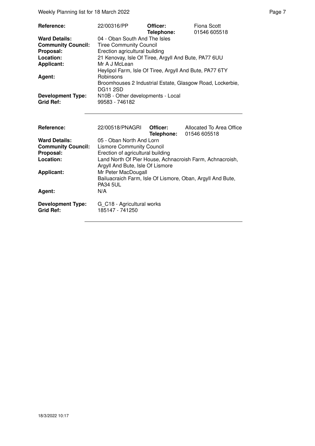Weekly Planning list for 18 March 2022 **Page 7** Neekly Planning list for 18 March 2022

| Reference:                | 22/00316/PP                                               | Officer:<br>Telephone: | Fiona Scott<br>01546 605518 |
|---------------------------|-----------------------------------------------------------|------------------------|-----------------------------|
| <b>Ward Details:</b>      | 04 - Oban South And The Isles                             |                        |                             |
| <b>Community Council:</b> | <b>Tiree Community Council</b>                            |                        |                             |
| Proposal:                 | Erection agricultural building                            |                        |                             |
| Location:                 | 21 Kenovay, Isle Of Tiree, Argyll And Bute, PA77 6UU      |                        |                             |
| <b>Applicant:</b>         | Mr A J McLean                                             |                        |                             |
|                           | Heylipol Farm, Isle Of Tiree, Argyll And Bute, PA77 6TY   |                        |                             |
| Agent:                    | Robinsons                                                 |                        |                             |
|                           | Broomhouses 2 Industrial Estate, Glasgow Road, Lockerbie, |                        |                             |
|                           | <b>DG11 2SD</b>                                           |                        |                             |
| <b>Development Type:</b>  | N10B - Other developments - Local                         |                        |                             |
| <b>Grid Ref:</b>          | 99583 - 746182                                            |                        |                             |

| Reference:                                   | 22/00518/PNAGRL                                            | Officer: | Allocated To Area Office<br>Telephone: 01546 605518      |
|----------------------------------------------|------------------------------------------------------------|----------|----------------------------------------------------------|
| <b>Ward Details:</b>                         | 05 - Oban North And Lorn                                   |          |                                                          |
| <b>Community Council:</b>                    | <b>Lismore Community Council</b>                           |          |                                                          |
| Proposal:                                    | Erection of agricultural building                          |          |                                                          |
| Location:                                    |                                                            |          | Land North Of Pier House, Achnacroish Farm, Achnacroish, |
|                                              | Argyll And Bute, Isle Of Lismore                           |          |                                                          |
| <b>Applicant:</b>                            | Mr Peter MacDougall                                        |          |                                                          |
|                                              | Bailuacraich Farm, Isle Of Lismore, Oban, Argyll And Bute, |          |                                                          |
|                                              | <b>PA34 5UL</b>                                            |          |                                                          |
| Agent:                                       | N/A                                                        |          |                                                          |
| <b>Development Type:</b><br><b>Grid Ref:</b> | G C18 - Agricultural works<br>185147 - 741250              |          |                                                          |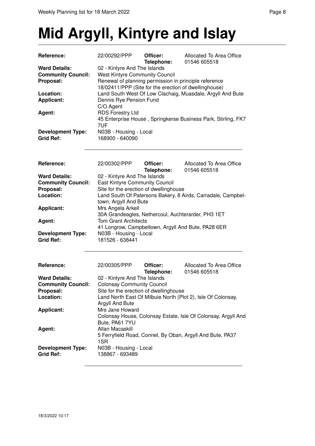# **Mid Argyll, Kintyre and Islay**

| Reference:                                                     | 22/00292/PPP                                                                                                                                                                            | Officer:<br>Telephone: | Allocated To Area Office<br>01546 605518                      |  |
|----------------------------------------------------------------|-----------------------------------------------------------------------------------------------------------------------------------------------------------------------------------------|------------------------|---------------------------------------------------------------|--|
| <b>Ward Details:</b><br><b>Community Council:</b><br>Proposal: | 02 - Kintyre And The Islands<br><b>West Kintyre Community Council</b><br>Renewal of planning permission in principle reference<br>18/02411/PPP (Site for the erection of dwellinghouse) |                        |                                                               |  |
| Location:<br><b>Applicant:</b>                                 | Dennis Rye Pension Fund<br>C/O Agent                                                                                                                                                    |                        | Land South West Of Low Clachaig, Muasdale, Argyll And Bute    |  |
| <b>Agent:</b>                                                  | <b>RDS Forestry Ltd</b><br>7UF                                                                                                                                                          |                        | 45 Enterprise House, Springkerse Business Park, Stirling, FK7 |  |
| <b>Development Type:</b><br><b>Grid Ref:</b>                   | N03B - Housing - Local<br>168900 - 640090                                                                                                                                               |                        |                                                               |  |
| Reference:                                                     | 22/00302/PPP                                                                                                                                                                            | Officer:<br>Telephone: | Allocated To Area Office<br>01546 605518                      |  |
| <b>Ward Details:</b>                                           | 02 - Kintyre And The Islands                                                                                                                                                            |                        |                                                               |  |
| <b>Community Council:</b>                                      | <b>East Kintyre Community Council</b>                                                                                                                                                   |                        |                                                               |  |
| Proposal:                                                      | Site for the erection of dwellinghouse                                                                                                                                                  |                        |                                                               |  |
| Location:                                                      | town, Argyll And Bute                                                                                                                                                                   |                        | Land South Of Patersons Bakery, 8 Airds, Carradale, Campbel-  |  |
| <b>Applicant:</b>                                              | Mrs Angela Arkell<br>30A Grandeagles, Nethercoul, Auchterarder, PH3 1ET                                                                                                                 |                        |                                                               |  |
| Agent:                                                         | <b>Tom Grant Architects</b><br>41 Longrow, Campbeltown, Argyll And Bute, PA28 6ER                                                                                                       |                        |                                                               |  |
| <b>Development Type:</b><br><b>Grid Ref:</b>                   | N03B - Housing - Local<br>181526 - 638441                                                                                                                                               |                        |                                                               |  |
| Reference:                                                     | 22/00305/PPP                                                                                                                                                                            | Officer:<br>Telephone: | Allocated To Area Office<br>01546 605518                      |  |
| <b>Ward Details:</b>                                           | 02 - Kintyre And The Islands                                                                                                                                                            |                        |                                                               |  |
| <b>Community Council:</b>                                      | <b>Colonsay Community Council</b>                                                                                                                                                       |                        |                                                               |  |
| Proposal:                                                      | Site for the erection of dwellinghouse                                                                                                                                                  |                        |                                                               |  |
| Location:                                                      |                                                                                                                                                                                         |                        | Land North East Of Milbuie North (Plot 2), Isle Of Colonsay,  |  |
| <b>Applicant:</b>                                              | Argyll And Bute<br>Mrs Jane Howard                                                                                                                                                      |                        |                                                               |  |
|                                                                | Bute, PA61 7YU                                                                                                                                                                          |                        | Colonsay House, Colonsay Estate, Isle Of Colonsay, Argyll And |  |
| Agent:                                                         | Allan Macaskill<br>1SR                                                                                                                                                                  |                        | 5 Ferryfield Road, Connel, By Oban, Argyll And Bute, PA37     |  |
| <b>Development Type:</b><br><b>Grid Ref:</b>                   | N03B - Housing - Local<br>138867 - 693489                                                                                                                                               |                        |                                                               |  |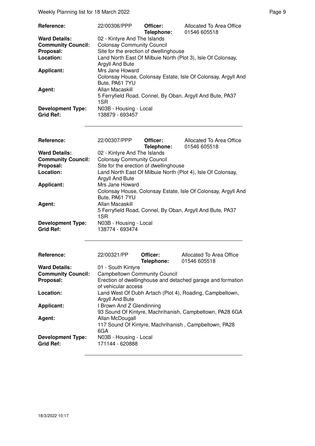| Reference:                                   | 22/00306/PPP                                                                    | Officer:<br>Telephone: | Allocated To Area Office<br>01546 605518                      |
|----------------------------------------------|---------------------------------------------------------------------------------|------------------------|---------------------------------------------------------------|
| <b>Ward Details:</b>                         | 02 - Kintyre And The Islands                                                    |                        |                                                               |
| <b>Community Council:</b>                    | <b>Colonsay Community Council</b>                                               |                        |                                                               |
| Proposal:                                    | Site for the erection of dwellinghouse                                          |                        |                                                               |
| Location:                                    | Land North East Of Milbuie North (Plot 3), Isle Of Colonsay,<br>Argyll And Bute |                        |                                                               |
| <b>Applicant:</b>                            | Mrs Jane Howard<br>Bute, PA61 7YU                                               |                        | Colonsay House, Colonsay Estate, Isle Of Colonsay, Argyll And |
| Agent:                                       | Allan Macaskill<br>1SR                                                          |                        | 5 Ferryfield Road, Connel, By Oban, Argyll And Bute, PA37     |
| <b>Development Type:</b><br><b>Grid Ref:</b> | N03B - Housing - Local<br>138879 - 693457                                       |                        |                                                               |

| Reference:                | 22/00307/PPP                           | Officer:<br>Telephone: | Allocated To Area Office<br>01546 605518                      |  |
|---------------------------|----------------------------------------|------------------------|---------------------------------------------------------------|--|
| <b>Ward Details:</b>      | 02 - Kintyre And The Islands           |                        |                                                               |  |
| <b>Community Council:</b> | <b>Colonsay Community Council</b>      |                        |                                                               |  |
| Proposal:                 | Site for the erection of dwellinghouse |                        |                                                               |  |
| Location:                 |                                        |                        | Land North East Of Milbuie North (Plot 4), Isle Of Colonsay,  |  |
|                           | Argyll And Bute                        |                        |                                                               |  |
| <b>Applicant:</b>         | Mrs Jane Howard                        |                        |                                                               |  |
|                           |                                        |                        | Colonsay House, Colonsay Estate, Isle Of Colonsay, Argyll And |  |
|                           | Bute, PA61 7YU                         |                        |                                                               |  |
| Agent:                    | Allan Macaskill                        |                        |                                                               |  |
|                           |                                        |                        | 5 Ferryfield Road, Connel, By Oban, Argyll And Bute, PA37     |  |
|                           | 1SR                                    |                        |                                                               |  |
| <b>Development Type:</b>  | N03B - Housing - Local                 |                        |                                                               |  |
| <b>Grid Ref:</b>          | 138774 - 693474                        |                        |                                                               |  |
| Reference:                | 22/00321/PP                            | Officer:<br>Telephone: | Allocated To Area Office<br>01546 605518                      |  |
| <b>Ward Details:</b>      | 01 - South Kintyre                     |                        |                                                               |  |
| <b>Community Council:</b> | <b>Campbeltown Community Council</b>   |                        |                                                               |  |
| Proposal:                 |                                        |                        | Erection of dwellinghouse and detached garage and formation   |  |
|                           | of vehicular access                    |                        |                                                               |  |
| Location:                 |                                        |                        | Land West Of Dubh Artach (Plot 4), Roading, Campbeltown,      |  |
|                           | Argyll And Bute                        |                        |                                                               |  |
| <b>Applicant:</b>         | I Brown And Z Glendinning              |                        |                                                               |  |
|                           |                                        |                        | 93 Sound Of Kintyre, Machrihanish, Campbeltown, PA28 6GA      |  |
| Agent:                    |                                        |                        |                                                               |  |
|                           |                                        |                        |                                                               |  |
|                           | Allan McDougall                        |                        |                                                               |  |
|                           | 6GA                                    |                        | 117 Sound Of Kintyre, Machrihanish, Campbeltown, PA28         |  |
| <b>Development Type:</b>  | N03B - Housing - Local                 |                        |                                                               |  |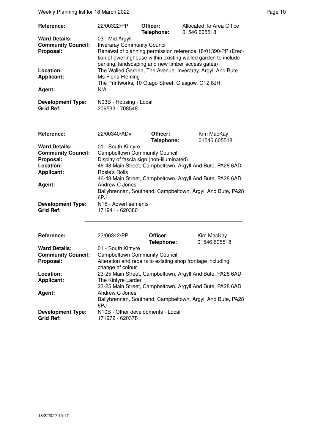Weekly Planning list for 18 March 2022 **Page 10** Page 10

| Reference:                                   | 22/00322/PP                                                                                                                                                                                                              | Officer:<br>Telephone: | Allocated To Area Office<br>01546 605518 |  |  |
|----------------------------------------------|--------------------------------------------------------------------------------------------------------------------------------------------------------------------------------------------------------------------------|------------------------|------------------------------------------|--|--|
| <b>Ward Details:</b>                         | 03 - Mid Argyll                                                                                                                                                                                                          |                        |                                          |  |  |
| <b>Community Council:</b><br>Proposal:       | <b>Inveraray Community Council</b><br>Renewal of planning permission reference 18/01390/PP (Erec-<br>tion of dwellinghouse within existing walled garden to include<br>parking, landscaping and new timber access gates) |                        |                                          |  |  |
| Location:<br><b>Applicant:</b>               | The Walled Garden, The Avenue, Inveraray, Argyll And Bute<br>Ms Fiona Fleming<br>The Printworks, 10 Otago Street, Glasgow, G12 8JH<br>N/A                                                                                |                        |                                          |  |  |
| Agent:                                       |                                                                                                                                                                                                                          |                        |                                          |  |  |
| <b>Development Type:</b><br><b>Grid Ref:</b> | N03B - Housing - Local<br>209533 - 708548                                                                                                                                                                                |                        |                                          |  |  |

| Reference:                                   | 22/00340/ADV                                                      | Officer:<br>Telephone: | Kim MacKay<br>01546 605518 |  |
|----------------------------------------------|-------------------------------------------------------------------|------------------------|----------------------------|--|
| <b>Ward Details:</b>                         | 01 - South Kintyre                                                |                        |                            |  |
| <b>Community Council:</b>                    | <b>Campbeltown Community Council</b>                              |                        |                            |  |
| Proposal:                                    | Display of fascia sign (non-illuminated)                          |                        |                            |  |
| Location:                                    | 46-48 Main Street, Campbeltown, Argyll And Bute, PA28 6AD         |                        |                            |  |
| <b>Applicant:</b>                            | Rosie's Rolls                                                     |                        |                            |  |
|                                              | 46-48 Main Street, Campbeltown, Argyll And Bute, PA28 6AD         |                        |                            |  |
| Agent:                                       | Andrew C Jones                                                    |                        |                            |  |
|                                              | Ballybrennan, Southend, Campbeltown, Argyll And Bute, PA28<br>6PJ |                        |                            |  |
| <b>Development Type:</b><br><b>Grid Ref:</b> | N <sub>15</sub> - Advertisements<br>171941 - 620380               |                        |                            |  |

| Reference:                                   | 22/00342/PP                                                                    | Officer:<br>Telephone:                                     | Kim MacKay<br>01546 605518 |  |
|----------------------------------------------|--------------------------------------------------------------------------------|------------------------------------------------------------|----------------------------|--|
| <b>Ward Details:</b>                         | 01 - South Kintyre                                                             |                                                            |                            |  |
| <b>Community Council:</b>                    | <b>Campbeltown Community Council</b>                                           |                                                            |                            |  |
| Proposal:                                    | Alteration and repairs to existing shop frontage including<br>change of colour |                                                            |                            |  |
| Location:                                    | 23-25 Main Street, Campbeltown, Argyll And Bute, PA28 6AD                      |                                                            |                            |  |
| <b>Applicant:</b>                            | The Kintyre Larder                                                             |                                                            |                            |  |
|                                              | 23-25 Main Street, Campbeltown, Argyll And Bute, PA28 6AD                      |                                                            |                            |  |
| Agent:                                       | Andrew C Jones                                                                 |                                                            |                            |  |
|                                              | 6PJ                                                                            | Ballybrennan, Southend, Campbeltown, Argyll And Bute, PA28 |                            |  |
| <b>Development Type:</b><br><b>Grid Ref:</b> | N10B - Other developments - Local<br>171972 - 620378                           |                                                            |                            |  |